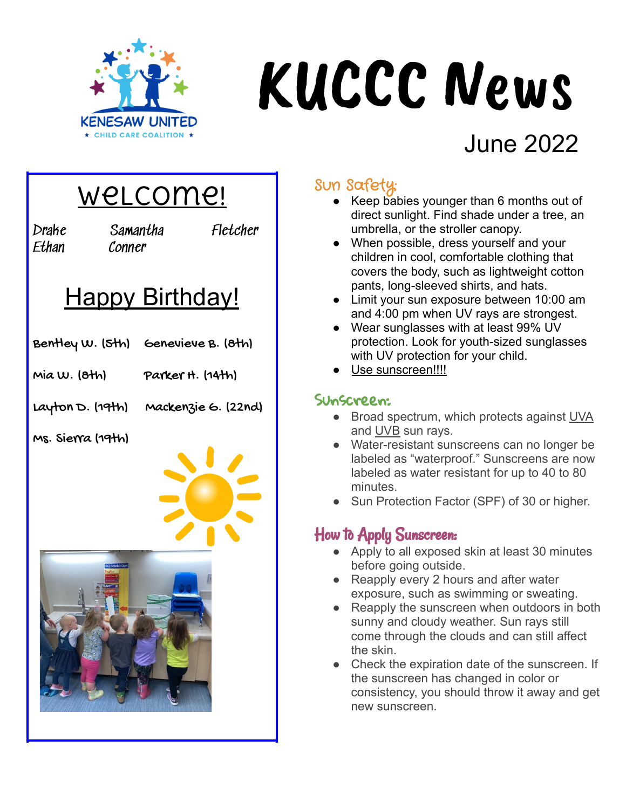

# KUCCC News

# June 2022

# Welcome!

Drake Samantha Fletcher Ethan Conner

## **Happy Birthday!**

- $BenHey W. (Sth)$  Genevieve B.  $(8th)$
- Mia W. (8th) Parker H. (14th)
- Layton D. (19th) Mackenzie G. (22nd)

Ms. Sierra (19th)





#### Sun Safety:

- Keep babies younger than 6 months out of direct sunlight. Find shade under a tree, an umbrella, or the stroller canopy.
- When possible, dress yourself and your children in cool, comfortable clothing that covers the body, such as lightweight cotton pants, long-sleeved shirts, and hats.
- Limit your sun exposure between 10:00 am and 4:00 pm when UV rays are strongest.
- Wear sunglasses with at least 99% UV protection. Look for youth-sized sunglasses with UV protection for your child.
- Use sunscreen!!!!

#### Sunscreen:

- Broad spectrum, which protects against UVA and UVB sun rays.
- Water-resistant sunscreens can no longer be labeled as "waterproof." Sunscreens are now labeled as water resistant for up to 40 to 80 minutes.
- Sun Protection Factor (SPF) of 30 or higher.

#### How to Apply Sunscreen:

- Apply to all exposed skin at least 30 minutes before going outside.
- Reapply every 2 hours and after water exposure, such as swimming or sweating.
- Reapply the sunscreen when outdoors in both sunny and cloudy weather. Sun rays still come through the clouds and can still affect the skin.
- Check the expiration date of the sunscreen. If the sunscreen has changed in color or consistency, you should throw it away and get new sunscreen.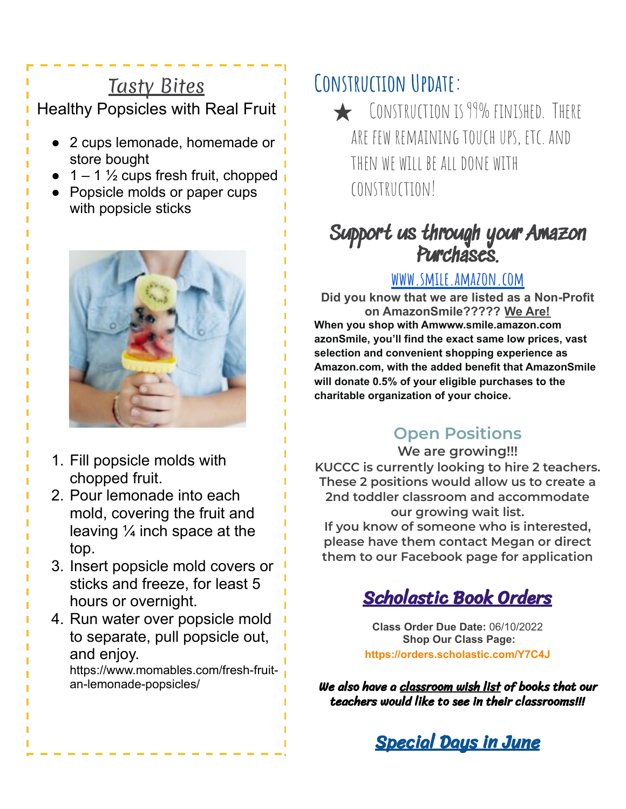#### Tasty Bites Healthy Popsicles with Real Fruit

● 2 cups lemonade, homemade or store bought

- $\bullet$  1 1  $\frac{1}{2}$  cups fresh fruit, chopped
- Popsicle molds or paper cups with popsicle sticks



- 1. Fill popsicle molds with chopped fruit.
- 2. Pour lemonade into each mold, covering the fruit and leaving  $\frac{1}{4}$  inch space at the top.
- 3. Insert popsicle mold covers or sticks and freeze, for least 5 hours or overnight.
- 4. Run water over popsicle mold to separate, pull popsicle out, and enjoy.

https://www.momables.com/fresh-fruitan-lemonade-popsicles/

## **Construction Update:**

★ Construction is 99% finished. There are few remaining touchups, etc. and then we will be alldone with construction!

## Support us through your Amazon Purchases.

#### **[www.smile.amazon.com](https://smile.amazon.com/)**

**Did you know that we are listed as a Non-Profit on AmazonSmile????? We Are! When you shop with Amwww.smile.amazon.com azonSmile, you'll find the exact same low prices, vast selection and convenient shopping experience as Amazon.com, with the added benefit that AmazonSmile will donate 0.5% of your eligible purchases to the charitable organization of your choice.**

### **Open Positions**

**We are growing!!! KUCCC is currently looking to hire 2 teachers. These 2 positions would allow us to create a 2nd toddler classroom and accommodate our growing wait list. If you know of someone who is interested, please have them contact Megan or direct them to our Facebook page for application**

## Scholastic Book Orders

**Class Order Due Date:** 06/10/2022 **Shop Our Class Page: <https://orders.scholastic.com/Y7C4J>**

We also have a classroom wish list of books that our teachers would like to see in their classrooms!!!